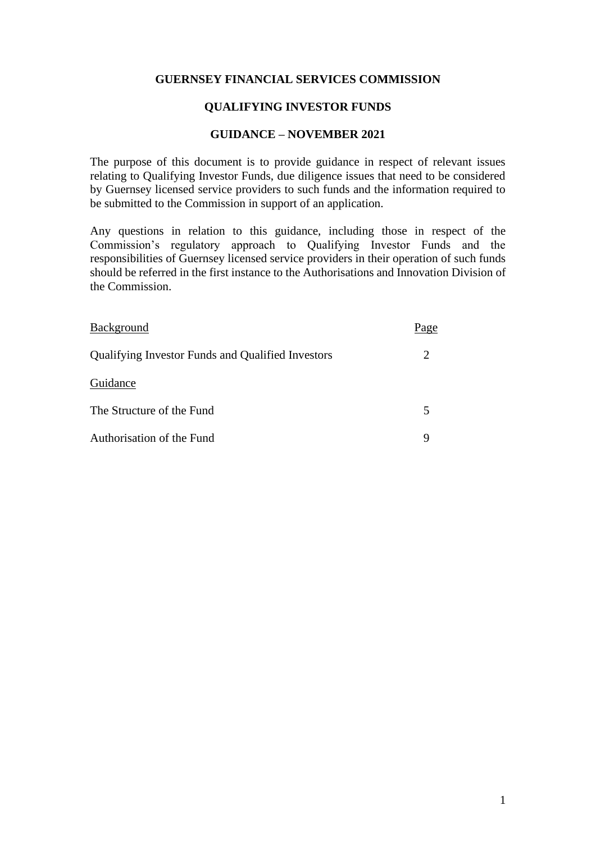### **GUERNSEY FINANCIAL SERVICES COMMISSION**

### **QUALIFYING INVESTOR FUNDS**

### **GUIDANCE – NOVEMBER 2021**

The purpose of this document is to provide guidance in respect of relevant issues relating to Qualifying Investor Funds, due diligence issues that need to be considered by Guernsey licensed service providers to such funds and the information required to be submitted to the Commission in support of an application.

Any questions in relation to this guidance, including those in respect of the Commission's regulatory approach to Qualifying Investor Funds and the responsibilities of Guernsey licensed service providers in their operation of such funds should be referred in the first instance to the Authorisations and Innovation Division of the Commission.

| Background                                        | Page                        |
|---------------------------------------------------|-----------------------------|
| Qualifying Investor Funds and Qualified Investors | $\mathcal{D}_{\mathcal{L}}$ |
| Guidance                                          |                             |
| The Structure of the Fund                         |                             |
| Authorisation of the Fund                         |                             |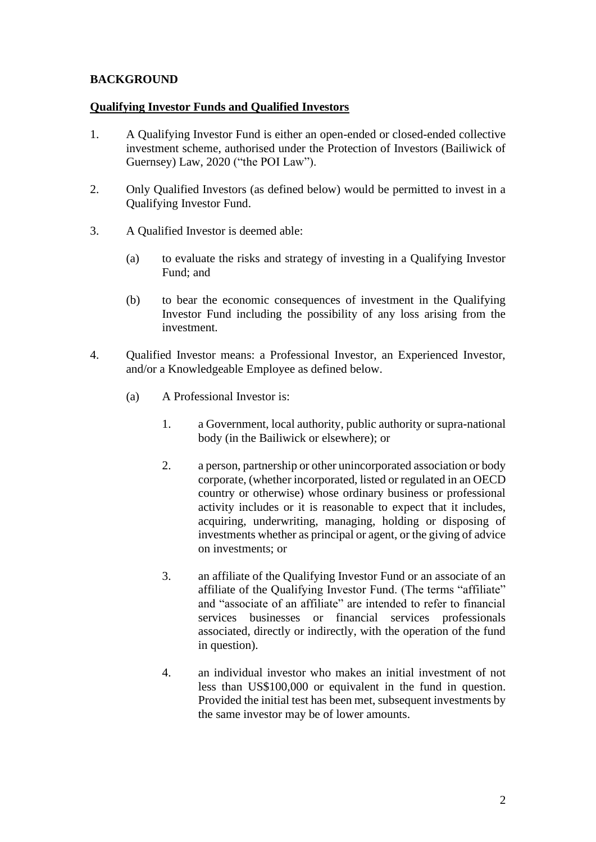# **BACKGROUND**

### **Qualifying Investor Funds and Qualified Investors**

- 1. A Qualifying Investor Fund is either an open-ended or closed-ended collective investment scheme, authorised under the Protection of Investors (Bailiwick of Guernsey) Law, 2020 ("the POI Law").
- 2. Only Qualified Investors (as defined below) would be permitted to invest in a Qualifying Investor Fund.
- 3. A Qualified Investor is deemed able:
	- (a) to evaluate the risks and strategy of investing in a Qualifying Investor Fund; and
	- (b) to bear the economic consequences of investment in the Qualifying Investor Fund including the possibility of any loss arising from the investment.
- 4. Qualified Investor means: a Professional Investor, an Experienced Investor, and/or a Knowledgeable Employee as defined below.
	- (a) A Professional Investor is:
		- 1. a Government, local authority, public authority or supra-national body (in the Bailiwick or elsewhere); or
		- 2. a person, partnership or other unincorporated association or body corporate, (whether incorporated, listed or regulated in an OECD country or otherwise) whose ordinary business or professional activity includes or it is reasonable to expect that it includes, acquiring, underwriting, managing, holding or disposing of investments whether as principal or agent, or the giving of advice on investments; or
		- 3. an affiliate of the Qualifying Investor Fund or an associate of an affiliate of the Qualifying Investor Fund. (The terms "affiliate" and "associate of an affiliate" are intended to refer to financial services businesses or financial services professionals associated, directly or indirectly, with the operation of the fund in question).
		- 4. an individual investor who makes an initial investment of not less than US\$100,000 or equivalent in the fund in question. Provided the initial test has been met, subsequent investments by the same investor may be of lower amounts.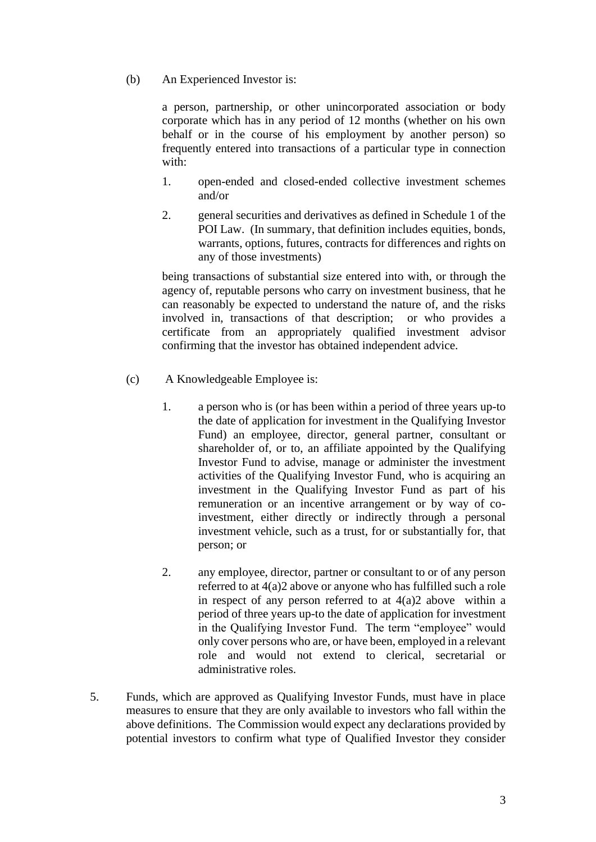(b) An Experienced Investor is:

a person, partnership, or other unincorporated association or body corporate which has in any period of 12 months (whether on his own behalf or in the course of his employment by another person) so frequently entered into transactions of a particular type in connection with:

- 1. open-ended and closed-ended collective investment schemes and/or
- 2. general securities and derivatives as defined in Schedule 1 of the POI Law. (In summary, that definition includes equities, bonds, warrants, options, futures, contracts for differences and rights on any of those investments)

being transactions of substantial size entered into with, or through the agency of, reputable persons who carry on investment business, that he can reasonably be expected to understand the nature of, and the risks involved in, transactions of that description; or who provides a certificate from an appropriately qualified investment advisor confirming that the investor has obtained independent advice.

- (c) A Knowledgeable Employee is:
	- 1. a person who is (or has been within a period of three years up-to the date of application for investment in the Qualifying Investor Fund) an employee, director, general partner, consultant or shareholder of, or to, an affiliate appointed by the Qualifying Investor Fund to advise, manage or administer the investment activities of the Qualifying Investor Fund, who is acquiring an investment in the Qualifying Investor Fund as part of his remuneration or an incentive arrangement or by way of coinvestment, either directly or indirectly through a personal investment vehicle, such as a trust, for or substantially for, that person; or
	- 2. any employee, director, partner or consultant to or of any person referred to at 4(a)2 above or anyone who has fulfilled such a role in respect of any person referred to at  $4(a)2$  above within a period of three years up-to the date of application for investment in the Qualifying Investor Fund. The term "employee" would only cover persons who are, or have been, employed in a relevant role and would not extend to clerical, secretarial or administrative roles.
- 5. Funds, which are approved as Qualifying Investor Funds, must have in place measures to ensure that they are only available to investors who fall within the above definitions. The Commission would expect any declarations provided by potential investors to confirm what type of Qualified Investor they consider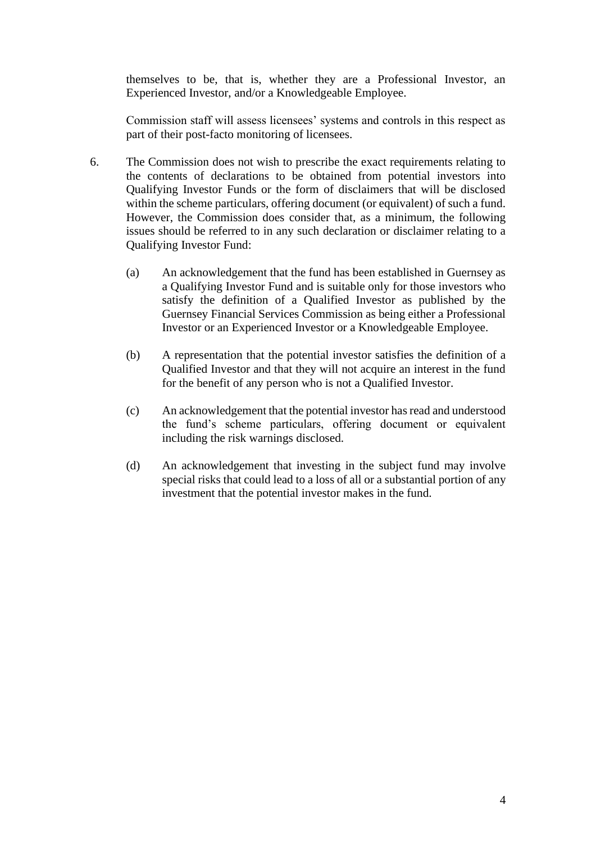themselves to be, that is, whether they are a Professional Investor, an Experienced Investor, and/or a Knowledgeable Employee.

Commission staff will assess licensees' systems and controls in this respect as part of their post-facto monitoring of licensees.

- 6. The Commission does not wish to prescribe the exact requirements relating to the contents of declarations to be obtained from potential investors into Qualifying Investor Funds or the form of disclaimers that will be disclosed within the scheme particulars, offering document (or equivalent) of such a fund. However, the Commission does consider that, as a minimum, the following issues should be referred to in any such declaration or disclaimer relating to a Qualifying Investor Fund:
	- (a) An acknowledgement that the fund has been established in Guernsey as a Qualifying Investor Fund and is suitable only for those investors who satisfy the definition of a Qualified Investor as published by the Guernsey Financial Services Commission as being either a Professional Investor or an Experienced Investor or a Knowledgeable Employee.
	- (b) A representation that the potential investor satisfies the definition of a Qualified Investor and that they will not acquire an interest in the fund for the benefit of any person who is not a Qualified Investor.
	- (c) An acknowledgement that the potential investor has read and understood the fund's scheme particulars, offering document or equivalent including the risk warnings disclosed.
	- (d) An acknowledgement that investing in the subject fund may involve special risks that could lead to a loss of all or a substantial portion of any investment that the potential investor makes in the fund.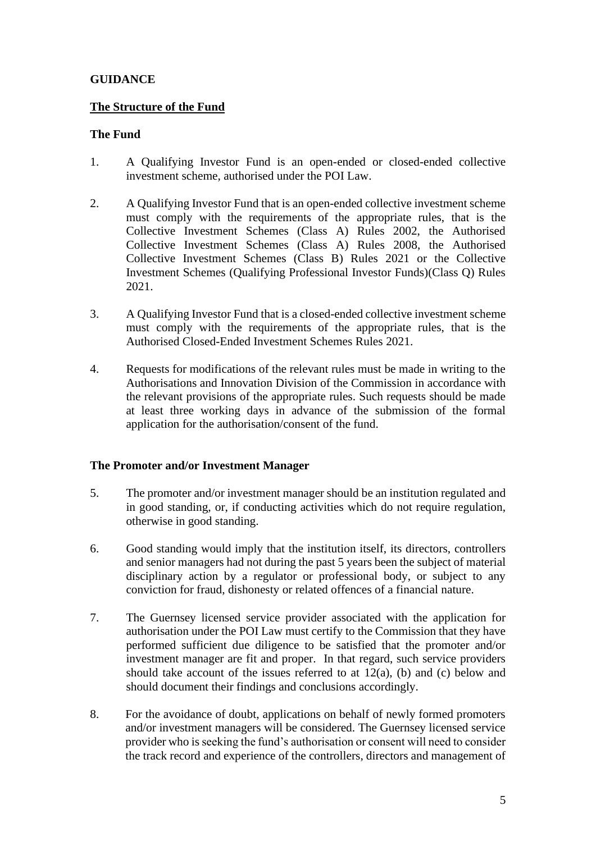# **GUIDANCE**

### **The Structure of the Fund**

# **The Fund**

- 1. A Qualifying Investor Fund is an open-ended or closed-ended collective investment scheme, authorised under the POI Law.
- 2. A Qualifying Investor Fund that is an open-ended collective investment scheme must comply with the requirements of the appropriate rules, that is the Collective Investment Schemes (Class A) Rules 2002, the Authorised Collective Investment Schemes (Class A) Rules 2008, the Authorised Collective Investment Schemes (Class B) Rules 2021 or the Collective Investment Schemes (Qualifying Professional Investor Funds)(Class Q) Rules 2021.
- 3. A Qualifying Investor Fund that is a closed-ended collective investment scheme must comply with the requirements of the appropriate rules, that is the Authorised Closed-Ended Investment Schemes Rules 2021.
- 4. Requests for modifications of the relevant rules must be made in writing to the Authorisations and Innovation Division of the Commission in accordance with the relevant provisions of the appropriate rules. Such requests should be made at least three working days in advance of the submission of the formal application for the authorisation/consent of the fund.

### **The Promoter and/or Investment Manager**

- 5. The promoter and/or investment manager should be an institution regulated and in good standing, or, if conducting activities which do not require regulation, otherwise in good standing.
- 6. Good standing would imply that the institution itself, its directors, controllers and senior managers had not during the past 5 years been the subject of material disciplinary action by a regulator or professional body, or subject to any conviction for fraud, dishonesty or related offences of a financial nature.
- 7. The Guernsey licensed service provider associated with the application for authorisation under the POI Law must certify to the Commission that they have performed sufficient due diligence to be satisfied that the promoter and/or investment manager are fit and proper. In that regard, such service providers should take account of the issues referred to at  $12(a)$ , (b) and (c) below and should document their findings and conclusions accordingly.
- 8. For the avoidance of doubt, applications on behalf of newly formed promoters and/or investment managers will be considered. The Guernsey licensed service provider who is seeking the fund's authorisation or consent will need to consider the track record and experience of the controllers, directors and management of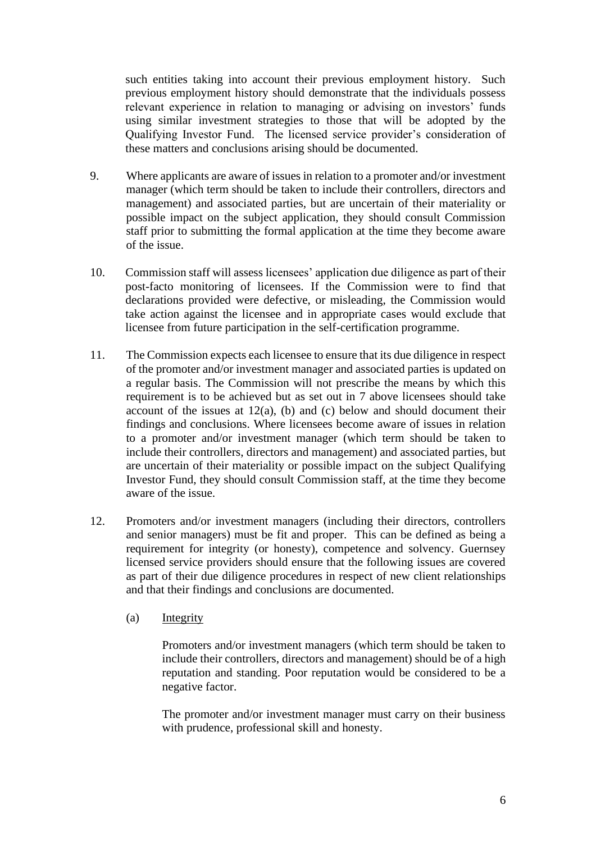such entities taking into account their previous employment history. Such previous employment history should demonstrate that the individuals possess relevant experience in relation to managing or advising on investors' funds using similar investment strategies to those that will be adopted by the Qualifying Investor Fund. The licensed service provider's consideration of these matters and conclusions arising should be documented.

- 9. Where applicants are aware of issues in relation to a promoter and/or investment manager (which term should be taken to include their controllers, directors and management) and associated parties, but are uncertain of their materiality or possible impact on the subject application, they should consult Commission staff prior to submitting the formal application at the time they become aware of the issue.
- 10. Commission staff will assess licensees' application due diligence as part of their post-facto monitoring of licensees. If the Commission were to find that declarations provided were defective, or misleading, the Commission would take action against the licensee and in appropriate cases would exclude that licensee from future participation in the self-certification programme.
- 11. The Commission expects each licensee to ensure that its due diligence in respect of the promoter and/or investment manager and associated parties is updated on a regular basis. The Commission will not prescribe the means by which this requirement is to be achieved but as set out in 7 above licensees should take account of the issues at  $12(a)$ , (b) and (c) below and should document their findings and conclusions. Where licensees become aware of issues in relation to a promoter and/or investment manager (which term should be taken to include their controllers, directors and management) and associated parties, but are uncertain of their materiality or possible impact on the subject Qualifying Investor Fund, they should consult Commission staff, at the time they become aware of the issue.
- 12. Promoters and/or investment managers (including their directors, controllers and senior managers) must be fit and proper. This can be defined as being a requirement for integrity (or honesty), competence and solvency. Guernsey licensed service providers should ensure that the following issues are covered as part of their due diligence procedures in respect of new client relationships and that their findings and conclusions are documented.
	- (a) Integrity

Promoters and/or investment managers (which term should be taken to include their controllers, directors and management) should be of a high reputation and standing. Poor reputation would be considered to be a negative factor.

The promoter and/or investment manager must carry on their business with prudence, professional skill and honesty.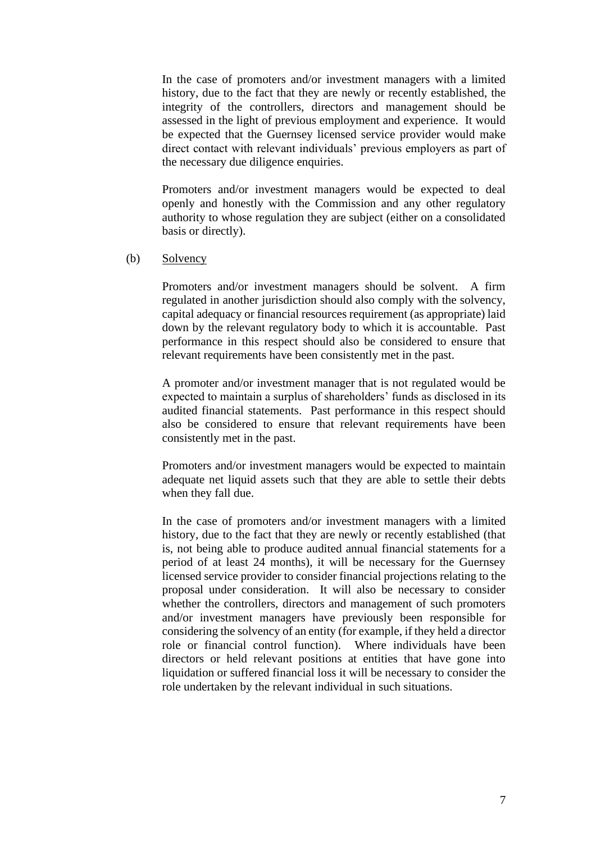In the case of promoters and/or investment managers with a limited history, due to the fact that they are newly or recently established, the integrity of the controllers, directors and management should be assessed in the light of previous employment and experience. It would be expected that the Guernsey licensed service provider would make direct contact with relevant individuals' previous employers as part of the necessary due diligence enquiries.

Promoters and/or investment managers would be expected to deal openly and honestly with the Commission and any other regulatory authority to whose regulation they are subject (either on a consolidated basis or directly).

#### (b) Solvency

Promoters and/or investment managers should be solvent. A firm regulated in another jurisdiction should also comply with the solvency, capital adequacy or financial resources requirement (as appropriate) laid down by the relevant regulatory body to which it is accountable. Past performance in this respect should also be considered to ensure that relevant requirements have been consistently met in the past.

A promoter and/or investment manager that is not regulated would be expected to maintain a surplus of shareholders' funds as disclosed in its audited financial statements. Past performance in this respect should also be considered to ensure that relevant requirements have been consistently met in the past.

Promoters and/or investment managers would be expected to maintain adequate net liquid assets such that they are able to settle their debts when they fall due.

In the case of promoters and/or investment managers with a limited history, due to the fact that they are newly or recently established (that is, not being able to produce audited annual financial statements for a period of at least 24 months), it will be necessary for the Guernsey licensed service provider to consider financial projections relating to the proposal under consideration. It will also be necessary to consider whether the controllers, directors and management of such promoters and/or investment managers have previously been responsible for considering the solvency of an entity (for example, if they held a director role or financial control function). Where individuals have been directors or held relevant positions at entities that have gone into liquidation or suffered financial loss it will be necessary to consider the role undertaken by the relevant individual in such situations.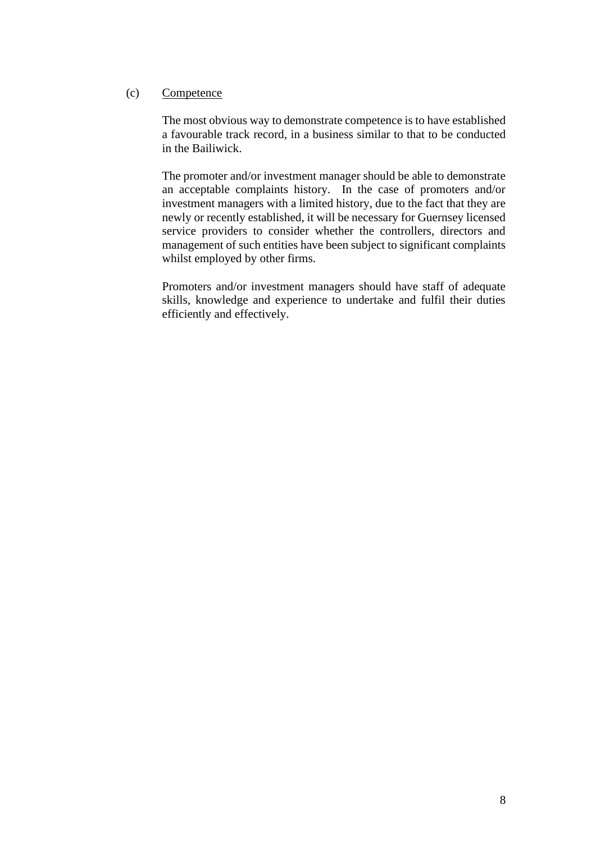# (c) Competence

The most obvious way to demonstrate competence is to have established a favourable track record, in a business similar to that to be conducted in the Bailiwick.

The promoter and/or investment manager should be able to demonstrate an acceptable complaints history. In the case of promoters and/or investment managers with a limited history, due to the fact that they are newly or recently established, it will be necessary for Guernsey licensed service providers to consider whether the controllers, directors and management of such entities have been subject to significant complaints whilst employed by other firms.

Promoters and/or investment managers should have staff of adequate skills, knowledge and experience to undertake and fulfil their duties efficiently and effectively.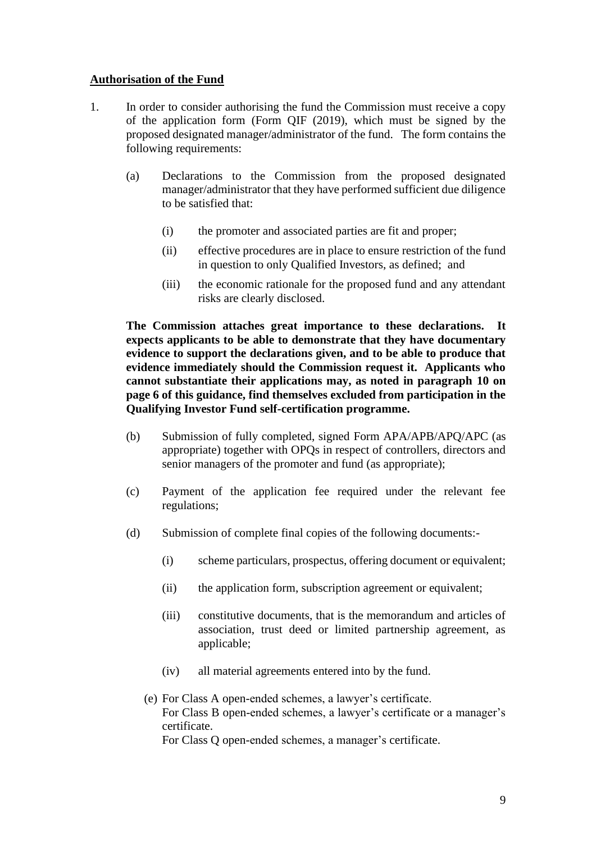# **Authorisation of the Fund**

- 1. In order to consider authorising the fund the Commission must receive a copy of the application form (Form QIF (2019), which must be signed by the proposed designated manager/administrator of the fund. The form contains the following requirements:
	- (a) Declarations to the Commission from the proposed designated manager/administrator that they have performed sufficient due diligence to be satisfied that:
		- (i) the promoter and associated parties are fit and proper;
		- (ii) effective procedures are in place to ensure restriction of the fund in question to only Qualified Investors, as defined; and
		- (iii) the economic rationale for the proposed fund and any attendant risks are clearly disclosed.

**The Commission attaches great importance to these declarations. It expects applicants to be able to demonstrate that they have documentary evidence to support the declarations given, and to be able to produce that evidence immediately should the Commission request it. Applicants who cannot substantiate their applications may, as noted in paragraph 10 on page 6 of this guidance, find themselves excluded from participation in the Qualifying Investor Fund self-certification programme.**

- (b) Submission of fully completed, signed Form APA/APB/APQ/APC (as appropriate) together with OPQs in respect of controllers, directors and senior managers of the promoter and fund (as appropriate);
- (c) Payment of the application fee required under the relevant fee regulations;
- (d) Submission of complete final copies of the following documents:-
	- (i) scheme particulars, prospectus, offering document or equivalent;
	- (ii) the application form, subscription agreement or equivalent;
	- (iii) constitutive documents, that is the memorandum and articles of association, trust deed or limited partnership agreement, as applicable;
	- (iv) all material agreements entered into by the fund.
	- (e) For Class A open-ended schemes, a lawyer's certificate. For Class B open-ended schemes, a lawyer's certificate or a manager's certificate. For Class Q open-ended schemes, a manager's certificate.